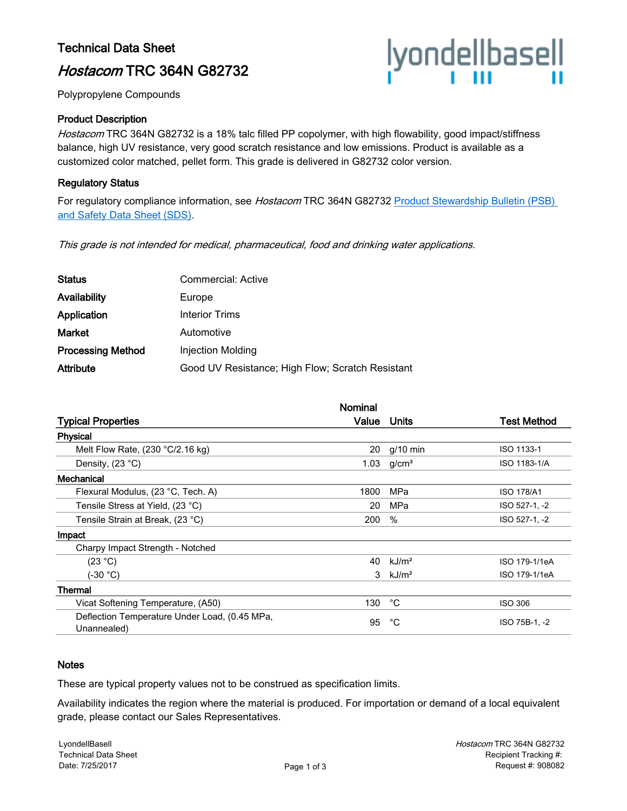### Technical Data Sheet

## Hostacom TRC 364N G82732

# |yonde||base||<br>|

Polypropylene Compounds

#### Product Description

Hostacom TRC 364N G82732 is a 18% talc filled PP copolymer, with high flowability, good impact/stiffness balance, high UV resistance, very good scratch resistance and low emissions. Product is available as a customized color matched, pellet form. This grade is delivered in G82732 color version.

#### Regulatory Status

For regulatory compliance information, see Hostacom TRC 364N G82732 Product Stewardship Bulletin (PSB) [and Safety Data Sheet \(SDS\)](https://productsafety.lyondellbasell.com/ByProductID/43c5fc2c-4d4d-418e-b32d-a6224bacdfa0).

This grade is not intended for medical, pharmaceutical, food and drinking water applications.

| <b>Status</b>            | Commercial: Active                               |
|--------------------------|--------------------------------------------------|
| Availability             | Europe                                           |
| Application              | Interior Trims                                   |
| <b>Market</b>            | Automotive                                       |
| <b>Processing Method</b> | Injection Molding                                |
| <b>Attribute</b>         | Good UV Resistance; High Flow; Scratch Resistant |

|                                                              | <b>Nominal</b> |                   |                   |
|--------------------------------------------------------------|----------------|-------------------|-------------------|
| <b>Typical Properties</b>                                    | Value          | Units             | Test Method       |
| <b>Physical</b>                                              |                |                   |                   |
| Melt Flow Rate, $(230 °C/2.16 kg)$                           | 20             | $q/10$ min        | ISO 1133-1        |
| Density, (23 °C)                                             | 1.03           | g/cm <sup>3</sup> | ISO 1183-1/A      |
| Mechanical                                                   |                |                   |                   |
| Flexural Modulus, (23 °C, Tech. A)                           | 1800           | MPa               | <b>ISO 178/A1</b> |
| Tensile Stress at Yield, (23 °C)                             | 20             | MPa               | ISO 527-1, -2     |
| Tensile Strain at Break, (23 °C)                             | 200            | $\%$              | ISO 527-1, -2     |
| Impact                                                       |                |                   |                   |
| Charpy Impact Strength - Notched                             |                |                   |                   |
| (23 °C)                                                      | 40             | kJ/m <sup>2</sup> | ISO 179-1/1eA     |
| (-30 °C)                                                     | 3              | kJ/m <sup>2</sup> | ISO 179-1/1eA     |
| <b>Thermal</b>                                               |                |                   |                   |
| Vicat Softening Temperature, (A50)                           | 130            | °C                | <b>ISO 306</b>    |
| Deflection Temperature Under Load, (0.45 MPa,<br>Unannealed) | 95             | °C                | ISO 75B-1, -2     |

#### **Notes**

These are typical property values not to be construed as specification limits.

Availability indicates the region where the material is produced. For importation or demand of a local equivalent grade, please contact our Sales Representatives.

LyondellBasell Technical Data Sheet Date: 7/25/2017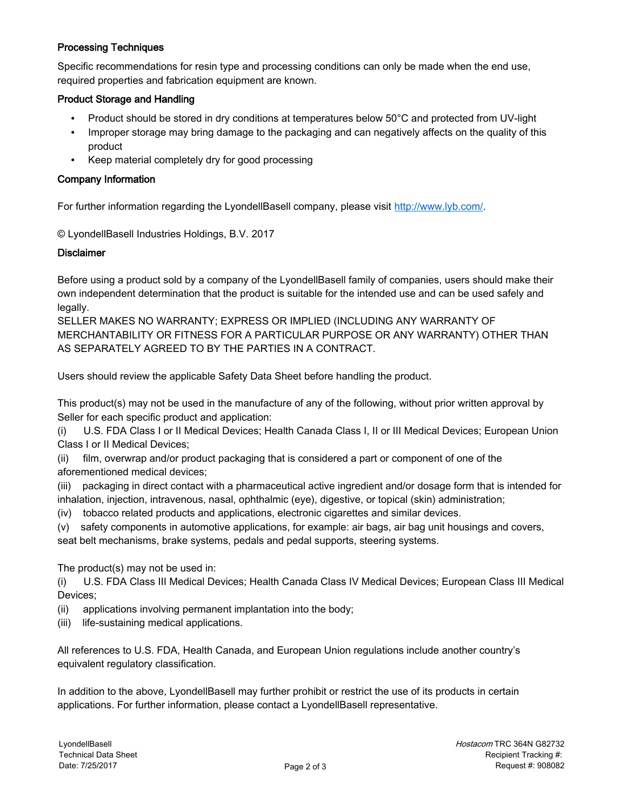#### Processing Techniques

Specific recommendations for resin type and processing conditions can only be made when the end use, required properties and fabrication equipment are known.

#### Product Storage and Handling

- Product should be stored in dry conditions at temperatures below 50°C and protected from UV-light
- Improper storage may bring damage to the packaging and can negatively affects on the quality of this product
- Keep material completely dry for good processing

#### Company Information

For further information regarding the LyondellBasell company, please visit [http://www.lyb.com/.](http://www.lyb.com/)

© LyondellBasell Industries Holdings, B.V. 2017

#### **Disclaimer**

Before using a product sold by a company of the LyondellBasell family of companies, users should make their own independent determination that the product is suitable for the intended use and can be used safely and legally.

SELLER MAKES NO WARRANTY; EXPRESS OR IMPLIED (INCLUDING ANY WARRANTY OF MERCHANTABILITY OR FITNESS FOR A PARTICULAR PURPOSE OR ANY WARRANTY) OTHER THAN AS SEPARATELY AGREED TO BY THE PARTIES IN A CONTRACT.

Users should review the applicable Safety Data Sheet before handling the product.

This product(s) may not be used in the manufacture of any of the following, without prior written approval by Seller for each specific product and application:

(i) U.S. FDA Class I or II Medical Devices; Health Canada Class I, II or III Medical Devices; European Union Class I or II Medical Devices;

(ii) film, overwrap and/or product packaging that is considered a part or component of one of the aforementioned medical devices;

(iii) packaging in direct contact with a pharmaceutical active ingredient and/or dosage form that is intended for inhalation, injection, intravenous, nasal, ophthalmic (eye), digestive, or topical (skin) administration;

(iv) tobacco related products and applications, electronic cigarettes and similar devices.

(v) safety components in automotive applications, for example: air bags, air bag unit housings and covers, seat belt mechanisms, brake systems, pedals and pedal supports, steering systems.

The product(s) may not be used in:

(i) U.S. FDA Class III Medical Devices; Health Canada Class IV Medical Devices; European Class III Medical Devices;

- (ii) applications involving permanent implantation into the body;
- (iii) life-sustaining medical applications.

All references to U.S. FDA, Health Canada, and European Union regulations include another country's equivalent regulatory classification.

In addition to the above, LyondellBasell may further prohibit or restrict the use of its products in certain applications. For further information, please contact a LyondellBasell representative.